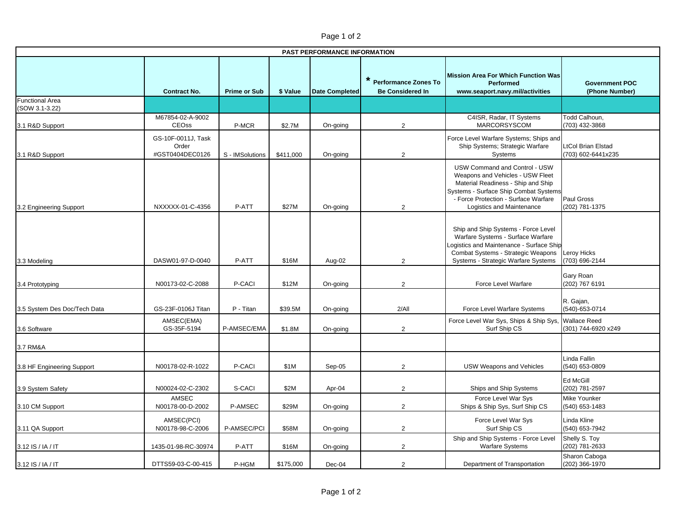| PAST PERFORMANCE INFORMATION             |                                                |                     |           |                       |                                                   |                                                                                                                                                                                                                       |                                                 |  |  |  |  |
|------------------------------------------|------------------------------------------------|---------------------|-----------|-----------------------|---------------------------------------------------|-----------------------------------------------------------------------------------------------------------------------------------------------------------------------------------------------------------------------|-------------------------------------------------|--|--|--|--|
|                                          | <b>Contract No.</b>                            | <b>Prime or Sub</b> | \$ Value  | <b>Date Completed</b> | * Performance Zones To<br><b>Be Considered In</b> | <b>Mission Area For Which Function Was</b><br><b>Performed</b><br>www.seaport.navy.mil/activities                                                                                                                     | <b>Government POC</b><br>(Phone Number)         |  |  |  |  |
| <b>Functional Area</b><br>(SOW 3.1-3.22) |                                                |                     |           |                       |                                                   |                                                                                                                                                                                                                       |                                                 |  |  |  |  |
| 3.1 R&D Support                          | M67854-02-A-9002<br>CEOss                      | P-MCR               | \$2.7M    | On-going              | 2                                                 | C4ISR, Radar, IT Systems<br>MARCORSYSCOM                                                                                                                                                                              | Todd Calhoun,<br>(703) 432-3868                 |  |  |  |  |
| 3.1 R&D Support                          | GS-10F-0011J, Task<br>Order<br>#GST0404DEC0126 | S - IMSolutions     | \$411,000 | On-going              | 2                                                 | Force Level Warfare Systems; Ships and<br>Ship Systems; Strategic Warfare<br>Systems                                                                                                                                  | <b>LtCol Brian Elstad</b><br>(703) 602-6441x235 |  |  |  |  |
| 3.2 Engineering Support                  | NXXXXX-01-C-4356                               | P-ATT               | \$27M     | On-going              | $\overline{2}$                                    | USW Command and Control - USW<br>Weapons and Vehicles - USW Fleet<br>Material Readiness - Ship and Ship<br>Systems - Surface Ship Combat Systems<br>- Force Protection - Surface Warfare<br>Logistics and Maintenance | Paul Gross<br>(202) 781-1375                    |  |  |  |  |
| 3.3 Modeling                             | DASW01-97-D-0040                               | P-ATT               | \$16M     | Aug-02                | $\overline{2}$                                    | Ship and Ship Systems - Force Level<br>Warfare Systems - Surface Warfare<br>ogistics and Maintenance - Surface Ship<br>Combat Systems - Strategic Weapons<br>Systems - Strategic Warfare Systems                      | Leroy Hicks<br>(703) 696-2144                   |  |  |  |  |
| 3.4 Prototyping                          | N00173-02-C-2088                               | P-CACI              | \$12M     | On-going              | $\mathbf{2}$                                      | Force Level Warfare                                                                                                                                                                                                   | Gary Roan<br>(202) 767 6191                     |  |  |  |  |
| 3.5 System Des Doc/Tech Data             | GS-23F-0106J Titan                             | P - Titan           | \$39.5M   | On-going              | 2/All                                             | Force Level Warfare Systems                                                                                                                                                                                           | R. Gajan,<br>(540)-653-0714                     |  |  |  |  |
| 3.6 Software                             | AMSEC(EMA)<br>GS-35F-5194                      | P-AMSEC/EMA         | \$1.8M    | On-going              | $\overline{2}$                                    | Force Level War Sys, Ships & Ship Sys,<br>Surf Ship CS                                                                                                                                                                | <b>Wallace Reed</b><br>(301) 744-6920 x249      |  |  |  |  |
| 3.7 RM&A                                 |                                                |                     |           |                       |                                                   |                                                                                                                                                                                                                       |                                                 |  |  |  |  |
| 3.8 HF Engineering Support               | N00178-02-R-1022                               | P-CACI              | \$1M      | Sep-05                | $\overline{2}$                                    | <b>USW Weapons and Vehicles</b>                                                                                                                                                                                       | Linda Fallin<br>(540) 653-0809                  |  |  |  |  |
| 3.9 System Safety                        | N00024-02-C-2302                               | S-CACI              | \$2M      | Apr-04                | $\overline{2}$                                    | Ships and Ship Systems                                                                                                                                                                                                | Ed McGill<br>(202) 781-2597                     |  |  |  |  |
| 3.10 CM Support                          | AMSEC<br>N00178-00-D-2002                      | P-AMSEC             | \$29M     | On-going              | 2                                                 | Force Level War Sys<br>Ships & Ship Sys, Surf Ship CS                                                                                                                                                                 | Mike Younker<br>(540) 653-1483                  |  |  |  |  |
| 3.11 QA Support                          | AMSEC(PCI)<br>N00178-98-C-2006                 | P-AMSEC/PCI         | \$58M     | On-going              | $\overline{c}$                                    | Force Level War Sys<br>Surf Ship CS                                                                                                                                                                                   | Linda Kline<br>(540) 653-7942                   |  |  |  |  |
| 3.12 IS / IA / IT                        | 1435-01-98-RC-30974                            | P-ATT               | \$16M     | On-going              | 2                                                 | Ship and Ship Systems - Force Level<br><b>Warfare Systems</b>                                                                                                                                                         | Shelly S. Toy<br>(202) 781-2633                 |  |  |  |  |
| 3.12 IS / IA / IT                        | DTTS59-03-C-00-415                             | P-HGM               | \$175,000 | Dec-04                | $\overline{2}$                                    | Department of Transportation                                                                                                                                                                                          | Sharon Caboga<br>(202) 366-1970                 |  |  |  |  |